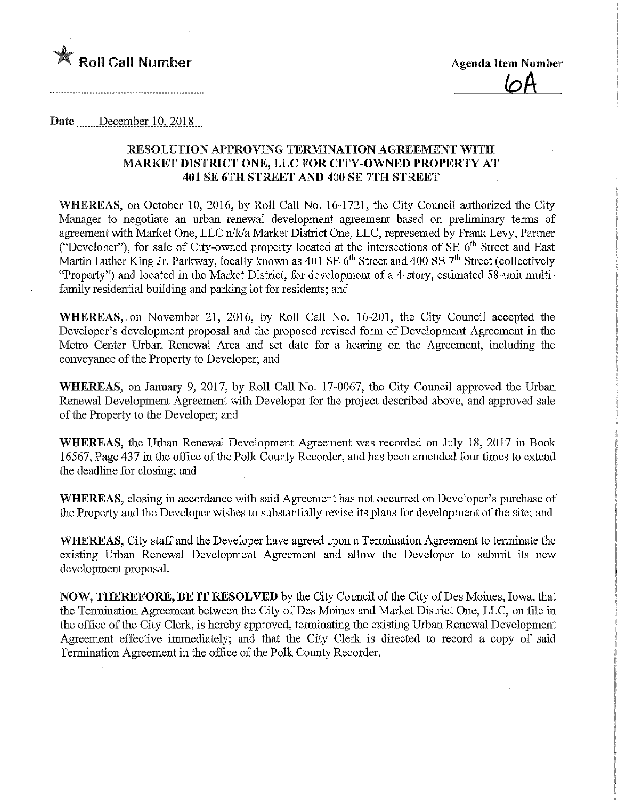

Date December 10, 2018

## RESOLUTION APPROVING TERMINATION AGREEMENT WITH MARKET DISTRICT ONE, LLC FOR CITY-OWNED PROPERTY AT 401 SE 6TH STREET AND 400 SE 7TH STREET

WHEREAS, on October 10, 2016, by Roll Call No. 16-1721, the City Council authorized the City Manager to negotiate an urban renewal development agreement based on preliminary terms of agreement with Market One, LLC n/k/a Market District One, LLC, represented by Frank Levy, Partner ("Developer"), for sale of City-owned property located at the intersections of SE  $6<sup>th</sup>$  Street and East Martin Luther King Jr. Parkway, locally known as 401 SE  $6<sup>th</sup>$  Street and 400 SE  $7<sup>th</sup>$  Street (collectively Property") and located in the Market District, for development of a 4-story, estimated 58-unit multifamily residential building and parking lot for residents; and

WHEREAS,, on November 21, 2016, by Roll Call No. 16-201, the City Council accepted the Developer's development proposal and the proposed revised form of Development Agreement in the Metro Center Urban Renewal Area and set date for a hearing on the Agreement, including the conveyance of the Property to Developer; and

WHEREAS, on January 9, 2017, by Roll Call No. 17-0067, the City Council approved the Urban Renewal Development Agreement with Developer for the project described above, and approved sale of the Property to the Developer; and

WHEREAS, the Urban Renewal Development Agreement was recorded on July 18, 2017 in Book 16567, Page 437 in the office of the Polk County Recorder, and has been amended four times to extend the deadline for closing; and

WHEREAS, closing in accordance with said Agreement has not occurred on Developer's purchase of the Property and the Developer wishes to substantially revise its plans for development of the site; and

WHEREAS, City staff and the Developer have agreed upon a Termination Agreement to terminate the existing Urban Renewal Development Agreement and allow the Developer to submit its new development proposal.

NOW, THEREFORE, BE IT RESOLVED by the City Council of the City of Des Moines, Iowa, that the Termination Agreement between the City of Des Moines and Market District One, LLC, on file in the office of the City Clerk, is hereby approved, terminating the existing Urban Renewal Development Agreement effective immediately; and that the City Clerk is directed to record a copy of said Termination Agreement in the office of the Polk County Recorder.